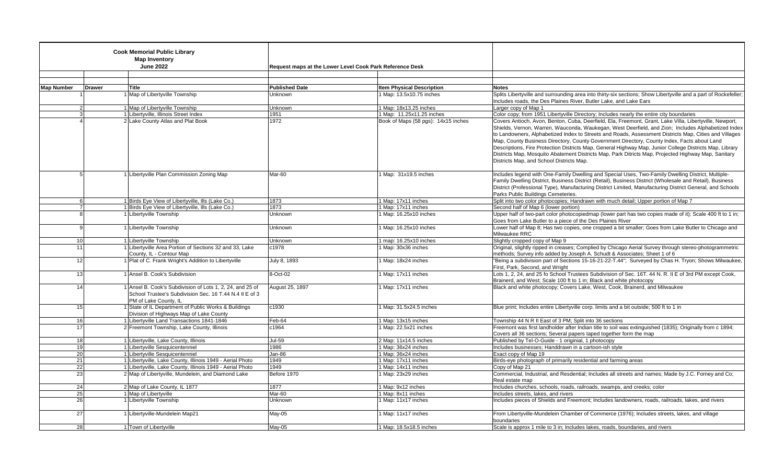| <b>Cook Memorial Public Library</b><br><b>Map Inventory</b><br><b>June 2022</b> |                | Request maps at the Lower Level Cook Park Reference Desk                                                                                      |                       |                                     |                                                                                                                                                                                                                                                                                                                                                                                                                                                                                                                                                                                                                                                                                     |
|---------------------------------------------------------------------------------|----------------|-----------------------------------------------------------------------------------------------------------------------------------------------|-----------------------|-------------------------------------|-------------------------------------------------------------------------------------------------------------------------------------------------------------------------------------------------------------------------------------------------------------------------------------------------------------------------------------------------------------------------------------------------------------------------------------------------------------------------------------------------------------------------------------------------------------------------------------------------------------------------------------------------------------------------------------|
|                                                                                 |                |                                                                                                                                               |                       |                                     |                                                                                                                                                                                                                                                                                                                                                                                                                                                                                                                                                                                                                                                                                     |
|                                                                                 |                |                                                                                                                                               |                       |                                     |                                                                                                                                                                                                                                                                                                                                                                                                                                                                                                                                                                                                                                                                                     |
| <b>Map Number</b>                                                               | <b>Drawer</b>  | Title                                                                                                                                         | <b>Published Date</b> | <b>Item Physical Description</b>    | <b>Notes</b>                                                                                                                                                                                                                                                                                                                                                                                                                                                                                                                                                                                                                                                                        |
|                                                                                 |                | Map of Libertvville Township                                                                                                                  | Unknown               | 1 Map: 13.5x10.75 inches            | Splits Libertyville and surrounding area into thirty-six sections; Show Libertyville and a part of Rockefeller;<br>Includes roads, the Des Plaines River, Butler Lake, and Lake Ears                                                                                                                                                                                                                                                                                                                                                                                                                                                                                                |
|                                                                                 | $\overline{2}$ | 1 Map of Libertyville Township                                                                                                                | Unknown               | 1 Map: 18x13.25 inches              | Larger copy of Map 1                                                                                                                                                                                                                                                                                                                                                                                                                                                                                                                                                                                                                                                                |
|                                                                                 | $\mathbf{3}$   | 1 Libertyville, Illinois Street Index                                                                                                         | 1951                  | 1 Map: 11.25x11.25 inches           | Color copy; from 1951 Libertyville Directory; Includes nearly the entire city boundaries                                                                                                                                                                                                                                                                                                                                                                                                                                                                                                                                                                                            |
|                                                                                 |                | 2 Lake County Atlas and Plat Book                                                                                                             | 1972                  | Book of Maps (58 pgs): 14x15 inches | Covers Antioch, Avon, Benton, Cuba, Deerfield, Ela, Freemont, Grant, Lake Villa, Libertyville, Newport,<br>Shields, Vernon, Warren, Wauconda, Waukegan, West Deerfield, and Zion; Includes Alphabetized Index<br>to Landowners, Alphabetized Index to Streets and Roads, Assessment Districts Map, Cities and Villages<br>Map, County Business Directory, County Government Directory, County Index, Facts about Land<br>Descriptions, Fire Protection Districts Map, General Highway Map, Junior College Districts Map, Library<br>Districts Map, Mosquito Abatement Districts Map, Park Ditricts Map, Projected Highway Map, Sanitary<br>Districts Map, and School Districts Map. |
|                                                                                 | 5 <sup>1</sup> | 1 Libertyville Plan Commission Zoning Map                                                                                                     | Mar-60                | 1 Map: 31x19.5 inches               | Includes legend with One-Family Dwelling and Special Uses, Two-Family Dwelling District, Multiple-<br>Family Dwelling District, Business District (Retail), Business District (Wholesale and Retail), Business<br>District (Professional Type), Manufacturing District Limited, Manufacturing District General, and Schools<br>Parks Public Buildings Cemeteries.                                                                                                                                                                                                                                                                                                                   |
|                                                                                 | $6 \mid$       | 1 Birds Eye View of Libertyville, Ills (Lake Co.)                                                                                             | 1873                  | 1 Map: 17x11 inches                 | Split into two color photocopies; Handrawn with much detail; Upper portion of Map 7                                                                                                                                                                                                                                                                                                                                                                                                                                                                                                                                                                                                 |
|                                                                                 | 7 <sup>1</sup> | 1 Birds Eye View of Libertyville, Ills (Lake Co.)                                                                                             | 1873                  | 1 Map: 17x11 inches                 | Second half of Map 6 (lower portion)                                                                                                                                                                                                                                                                                                                                                                                                                                                                                                                                                                                                                                                |
|                                                                                 | 8              | 1 Libertyville Township                                                                                                                       | Unknown               | 1 Map: 16.25x10 inches              | Upper half of two-part color photocopiedmap (lower part has two copies made of it); Scale 400 ft to 1 in;<br>Goes from Lake Butler to a piece of the Des Plaines River                                                                                                                                                                                                                                                                                                                                                                                                                                                                                                              |
|                                                                                 | 9 <sup>1</sup> | 1 Libertyville Township                                                                                                                       | Unknown               | 1 Map: 16.25x10 inches              | Lower half of Map 8; Has two copies, one cropped a bit smaller; Goes from Lake Butler to Chicago and<br>Milwaukee RRC                                                                                                                                                                                                                                                                                                                                                                                                                                                                                                                                                               |
| 10 <sup>1</sup>                                                                 |                | 1 Libertyville Township                                                                                                                       | Unknown               | 1 map: 16.25x10 inches              | Slightly cropped copy of Map 9                                                                                                                                                                                                                                                                                                                                                                                                                                                                                                                                                                                                                                                      |
| 11                                                                              |                | 1 Libertyville Area Portion of Sections 32 and 33, Lake<br>County, IL - Contour Map                                                           | c1978                 | 1 Map: 30x36 inches                 | Original, slightly ripped in creases; Complied by Chicago Aerial Survey through stereo-photogrammetric<br>methods; Survey info added by Joseph A. Schudt & Associates; Sheet 1 of 6                                                                                                                                                                                                                                                                                                                                                                                                                                                                                                 |
| 12                                                                              |                | 1 Plat of C. Frank Wright's Addition to Libertyville                                                                                          | July 8, 1893          | 1 Map: 18x24 inches                 | "Being a subdivision part of Sections 15-16-21-22-T.44"; Surveyed by Chas H. Tryon; Shows Milwaukee,<br>First, Park, Second, and Wright                                                                                                                                                                                                                                                                                                                                                                                                                                                                                                                                             |
| 13                                                                              |                | 1 Ansel B. Cook's Subdivision                                                                                                                 | 8-Oct-02              | 1 Map: 17x11 inches                 | Lots 1, 2, 24, and 25 fo School Trustees Subdivision of Sec. 16T. 44 N. R. II E of 3rd PM except Cook,<br>Brainerd, and West; Scale 100 ft to 1 in; Black and white photocopy                                                                                                                                                                                                                                                                                                                                                                                                                                                                                                       |
| 14                                                                              |                | 1 Ansel B. Cook's Subdivision of Lots 1, 2, 24, and 25 of<br>School Trustee's Subdivision Sec. 16 T.44 N.4 II E of 3<br>PM of Lake County, IL | August 25, 1897       | Map: 17x11 inches                   | Black and white photocopy; Covers Lake, West, Cook, Brainerd, and Milwaukee                                                                                                                                                                                                                                                                                                                                                                                                                                                                                                                                                                                                         |
| 15                                                                              |                | 1 State of IL Department of Public Works & Buildings<br>Division of Highways Map of Lake County                                               | c1930                 | 1 Map: 31.5x24.5 inches             | Blue print; Includes entire Libertyville corp. limits and a bit outside; 500 ft to 1 in                                                                                                                                                                                                                                                                                                                                                                                                                                                                                                                                                                                             |
| 16                                                                              |                | 1 Libertyville Land Transactions 1841-1846                                                                                                    | Feb-64                | 1 Map: 13x15 inches                 | Township 44 N R II East of 3 PM; Split into 36 sections                                                                                                                                                                                                                                                                                                                                                                                                                                                                                                                                                                                                                             |
| 17 <sup>1</sup>                                                                 |                | 2 Freemont Township, Lake County, Illinois                                                                                                    | c1964                 | 1 Map: 22.5x21 inches               | Freemont was first landholder after Indian title to soil was extinguished (1835); Originally from c 1894;<br>Covers all 36 sections; Several papers taped together form the map                                                                                                                                                                                                                                                                                                                                                                                                                                                                                                     |
| 18                                                                              |                | 1 Libertyville, Lake County, Illinois                                                                                                         | Jul-59                | 2 Map: 11x14.5 inches               | Published by Tel-O-Guide - 1 originial, 1 photocopy                                                                                                                                                                                                                                                                                                                                                                                                                                                                                                                                                                                                                                 |
| 19                                                                              |                | 1 Libertyville Sesquicentenniel                                                                                                               | 1986                  | 1 Map: 36x24 inches                 | Includes businesses; Handdrawn in a cartoon-ish style                                                                                                                                                                                                                                                                                                                                                                                                                                                                                                                                                                                                                               |
| 20                                                                              |                | 1 Libertyville Sesquicentenniel                                                                                                               | Jan-86                | 1 Map: 36x24 inches                 | Exact copy of Map 19                                                                                                                                                                                                                                                                                                                                                                                                                                                                                                                                                                                                                                                                |
| 21                                                                              |                | 1 Libertyville, Lake County, Illinois 1949 - Aerial Photo                                                                                     | 1949                  | 1 Map: 17x11 inches                 | Birds-eye photograph of primarily residential and farming areas                                                                                                                                                                                                                                                                                                                                                                                                                                                                                                                                                                                                                     |
| 22                                                                              |                | 1 Libertyville, Lake County, Illinois 1949 - Aerial Photo                                                                                     | 1949                  | 1 Map: 14x11 inches                 | Copy of Map 21                                                                                                                                                                                                                                                                                                                                                                                                                                                                                                                                                                                                                                                                      |
| 23                                                                              |                | 2 Map of Libertyville, Mundelein, and Diamond Lake                                                                                            | Before 1970           | 1 Map: 23x29 inches                 | Commercial, Industrial, and Resdential; Includes all streets and names; Made by J.C. Forney and Co;<br>Real estate map                                                                                                                                                                                                                                                                                                                                                                                                                                                                                                                                                              |
| 24                                                                              |                | 2 Map of Lake County, IL 1877                                                                                                                 | 1877                  | 1 Map: 9x12 inches                  | Includes churches, schools, roads, railroads, swamps, and creeks; color                                                                                                                                                                                                                                                                                                                                                                                                                                                                                                                                                                                                             |
| 25                                                                              |                | 1 Map of Libertyville                                                                                                                         | Mar-60                | 1 Map: 8x11 inches                  | Includes streets, lakes, and rivers                                                                                                                                                                                                                                                                                                                                                                                                                                                                                                                                                                                                                                                 |
| 26                                                                              |                | 1 Libertyville Township                                                                                                                       | Unknown               | 1 Map: 11x17 inches                 | Includes pieces of Shields and Freemont; Includes landowners, roads, railroads, lakes, and rivers                                                                                                                                                                                                                                                                                                                                                                                                                                                                                                                                                                                   |
| 27                                                                              |                | 1 Libertyville-Mundelein Map21                                                                                                                | May-05                | 1 Map: 11x17 inches                 | From Libertyville-Mundelein Chamber of Commerce (1976); Includes streets, lakes, and village<br>boundaries                                                                                                                                                                                                                                                                                                                                                                                                                                                                                                                                                                          |
| 28                                                                              |                | 1 Town of Libertyville                                                                                                                        | May-05                | 1 Map: 18.5x18.5 inches             | Scale is approx 1 mile to 3 in; Includes lakes, roads, boundaries, and rivers                                                                                                                                                                                                                                                                                                                                                                                                                                                                                                                                                                                                       |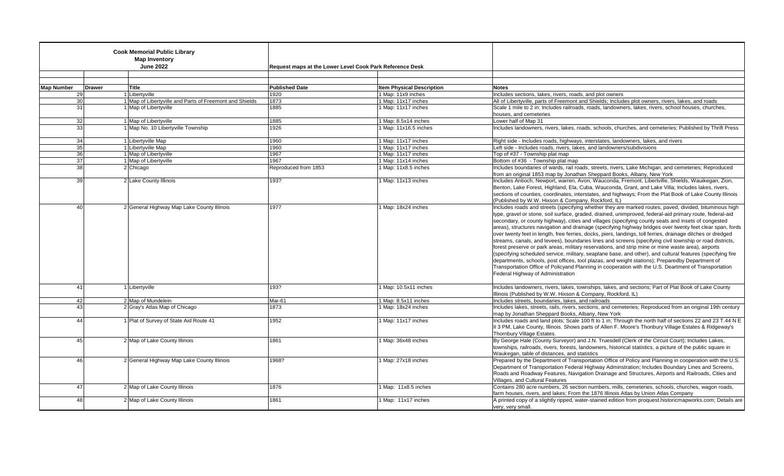| <b>Cook Memorial Public Library</b><br><b>Map Inventory</b><br><b>June 2022</b> |               |                                                         | Request maps at the Lower Level Cook Park Reference Desk |                                  |                                                                                                                                                                                                                                                                                                                                                                                                                                                                                                                                                                                                                                                                                                                                                                                                                                                                                                                                                                                                                                                                                                                                       |
|---------------------------------------------------------------------------------|---------------|---------------------------------------------------------|----------------------------------------------------------|----------------------------------|---------------------------------------------------------------------------------------------------------------------------------------------------------------------------------------------------------------------------------------------------------------------------------------------------------------------------------------------------------------------------------------------------------------------------------------------------------------------------------------------------------------------------------------------------------------------------------------------------------------------------------------------------------------------------------------------------------------------------------------------------------------------------------------------------------------------------------------------------------------------------------------------------------------------------------------------------------------------------------------------------------------------------------------------------------------------------------------------------------------------------------------|
| <b>Map Number</b>                                                               | <b>Drawer</b> | Title                                                   | <b>Published Date</b>                                    | <b>Item Physical Description</b> | <b>Notes</b>                                                                                                                                                                                                                                                                                                                                                                                                                                                                                                                                                                                                                                                                                                                                                                                                                                                                                                                                                                                                                                                                                                                          |
| 29                                                                              |               | 1 Libert wille                                          | 1920                                                     | 1 Map: 11x9 inches               | Includes sections, lakes, rivers, roads, and plot owners                                                                                                                                                                                                                                                                                                                                                                                                                                                                                                                                                                                                                                                                                                                                                                                                                                                                                                                                                                                                                                                                              |
| 30                                                                              |               | 1 Map of Libertyville and Parts of Freemont and Shields | 1873                                                     | 1 Map: 11x17 inches              | All of Libertyville, parts of Freemont and Shields; Includes plot owners, rivers, lakes, and roads                                                                                                                                                                                                                                                                                                                                                                                                                                                                                                                                                                                                                                                                                                                                                                                                                                                                                                                                                                                                                                    |
| 31                                                                              |               | 1 Map of Libertyville                                   | 1885                                                     | 1 Map: 11x17 inches              | Scale 1 mile to 2 in; Includes railroads, roads, landowners, lakes, rivers, school houses, churches,                                                                                                                                                                                                                                                                                                                                                                                                                                                                                                                                                                                                                                                                                                                                                                                                                                                                                                                                                                                                                                  |
|                                                                                 |               |                                                         |                                                          |                                  | houses, and cemeteries                                                                                                                                                                                                                                                                                                                                                                                                                                                                                                                                                                                                                                                                                                                                                                                                                                                                                                                                                                                                                                                                                                                |
| 32                                                                              |               | 1 Map of Libertyville                                   | 1885                                                     | 1 Map: 8.5x14 inches             | Lower half of Map 31                                                                                                                                                                                                                                                                                                                                                                                                                                                                                                                                                                                                                                                                                                                                                                                                                                                                                                                                                                                                                                                                                                                  |
| 33                                                                              |               | 1 Map No. 10 Libertyville Township                      | 1926                                                     | 1 Map: 11x16.5 inches            | Includes landowners, rivers, lakes, roads, schools, churches, and cemeteries; Published by Thrift Press                                                                                                                                                                                                                                                                                                                                                                                                                                                                                                                                                                                                                                                                                                                                                                                                                                                                                                                                                                                                                               |
| 34                                                                              |               | 1 Libertyville Map                                      | 1960                                                     | 1 Map: 11x17 inches              | Right side - Includes roads, highways, interstates, landowners, lakes, and rivers                                                                                                                                                                                                                                                                                                                                                                                                                                                                                                                                                                                                                                                                                                                                                                                                                                                                                                                                                                                                                                                     |
| 35 <sup>1</sup>                                                                 |               | 1 Libertyville Map                                      | 1960                                                     | 1 Map: 11x17 inches              | Left side - Includes roads, rivers, lakes, and landowners/subdivisions                                                                                                                                                                                                                                                                                                                                                                                                                                                                                                                                                                                                                                                                                                                                                                                                                                                                                                                                                                                                                                                                |
| 36 <sup>l</sup>                                                                 |               | 1 Map of Libertyville                                   | 1967                                                     | 1 Map: 11x17 inches              | Top of #37 - Township plat map                                                                                                                                                                                                                                                                                                                                                                                                                                                                                                                                                                                                                                                                                                                                                                                                                                                                                                                                                                                                                                                                                                        |
| 37                                                                              |               | 1 Map of Libertyville                                   | 1967                                                     | 1 Map: 11x14 inches              | Bottom of #36 - Township plat map                                                                                                                                                                                                                                                                                                                                                                                                                                                                                                                                                                                                                                                                                                                                                                                                                                                                                                                                                                                                                                                                                                     |
| 38                                                                              |               | 2 Chicago                                               | Reproduced from 1853                                     | 1 Map: 11x8.5 inches             | Includes boundaries of wards, rail roads, streets, rivers, Lake Michigan, and cemeteries; Reproduced                                                                                                                                                                                                                                                                                                                                                                                                                                                                                                                                                                                                                                                                                                                                                                                                                                                                                                                                                                                                                                  |
|                                                                                 |               |                                                         |                                                          |                                  | from an original 1853 map by Jonathan Sheppard Books, Albany, New York                                                                                                                                                                                                                                                                                                                                                                                                                                                                                                                                                                                                                                                                                                                                                                                                                                                                                                                                                                                                                                                                |
| 39                                                                              |               | 2 Lake County Illinois                                  | 193?                                                     | 1 Map: 11x13 inches              | Includes Antioch, Newport, warren, Avon, Wauconda, Fremont, Libertville, Shields, Wauikegan, Zion,<br>Benton, Lake Forest, Highland, Ela, Cuba, Wauconda, Grant, and Lake Villa; Includes lakes, rivers,<br>sections of counties, coordinates, interstates, and highways; From the Plat Book of Lake County Illinois<br>(Published by W.W. Hixson & Company, Rockford, IL)                                                                                                                                                                                                                                                                                                                                                                                                                                                                                                                                                                                                                                                                                                                                                            |
| 40                                                                              |               | 2 General Highway Map Lake County Illinois              | 1977                                                     | 1 Map: 18x24 inches              | Includes roads and streets (specifying whether they are marked routes, paved, divided, bituminous high<br>type, gravel or stone, soil surface, graded, drained, unimproved, federal-aid primary route, federal-aid<br>secondary, or county highway), cities and villages (specifying county seats and insets of congested<br>areas), structures navigation and drainage (specifying highway bridges over twenty feet clear span, fords<br>over twenty feet in length, free ferries, docks, piers, landings, toll ferries, drainage ditches or dredged<br>streams, canals, and levees), boundaries lines and screens (specifying civil township or road districts,<br>forest preserve or park areas, military reservations, and strip mine or mine waste area), airports<br>(specifying scheduled service, military, seaplane base, and other), and cultural features (specifying fire<br>departments, schools, post offices, tool plazas, and weight stations); Preparedby Department of<br>Transportation Office of Policyand Planning in cooperation with the U.S. Deartment of Transportation<br>Federal Highway of Administration |
| 41                                                                              |               | 1 Libertyville                                          | 193?                                                     | 1 Map: 10.5x11 inches            | Includes landowners, rivers, lakes, townships, lakes, and sections; Part of Plat Book of Lake County<br>Illinois (Published by W.W. Hixson & Company, Rockford, IL)                                                                                                                                                                                                                                                                                                                                                                                                                                                                                                                                                                                                                                                                                                                                                                                                                                                                                                                                                                   |
| 42                                                                              |               | 2 Map of Mundelein                                      | Mar-61                                                   | 1 Map: 8.5x11 inches             | Includes streets, boundaries, lakes, and railroads                                                                                                                                                                                                                                                                                                                                                                                                                                                                                                                                                                                                                                                                                                                                                                                                                                                                                                                                                                                                                                                                                    |
| 43                                                                              |               | 2 Gray's Atlas Map of Chicago                           | 1873                                                     | 1 Map: 18x24 inches              | Includes lakes, streets, rails, rivers, sections, and cemeteries; Reproduced from an original 19th century<br>map by Jonathan Sheppard Books, Albany, New York                                                                                                                                                                                                                                                                                                                                                                                                                                                                                                                                                                                                                                                                                                                                                                                                                                                                                                                                                                        |
| 44                                                                              |               | 1 Plat of Survey of State Aid Route 41                  | 1952                                                     | 1 Map: 11x17 inches              | Includes roads and land plots; Scale 100 ft to 1 in; Through the north half of sections 22 and 23 T.44 N E<br>II 3 PM, Lake County, Illinois. Shows parts of Allen F. Moore's Thonbury Village Estates & Ridgeway's<br>Thornbury Village Estates.                                                                                                                                                                                                                                                                                                                                                                                                                                                                                                                                                                                                                                                                                                                                                                                                                                                                                     |
| 45                                                                              |               | 2 Map of Lake County Illinois                           | 1861                                                     | 1 Map: 36x48 inches              | By George Hale (County Surveyor) and J.N. Truesdell (Clerk of the Circuit Court); Includes Lakes,<br>townships, railroads, rivers, forests, landowners, historical statistics, a picture of the public square in<br>Waukegan, table of distances, and statistics                                                                                                                                                                                                                                                                                                                                                                                                                                                                                                                                                                                                                                                                                                                                                                                                                                                                      |
| 46                                                                              |               | 2 General Highway Map Lake County Illinois              | 1968?                                                    | 1 Map: 27x18 inches              | Prepared by the Department of Transportation Office of Policy and Planning in cooperation with the U.S.<br>Department of Transportation Federal Highway Adminstration; Includes Boundary Lines and Screens,<br>Roads and Roadway Features, Navigation Drainage and Structures, Airports and Railroads, Cities and<br>Villages, and Cultural Features                                                                                                                                                                                                                                                                                                                                                                                                                                                                                                                                                                                                                                                                                                                                                                                  |
| 47                                                                              |               | 2 Map of Lake County Illinois                           | 1876                                                     | 1 Map: 11x8.5 inches             | Contains 280 acre numbers, 26 section numbers, mills, cemeteries, schools, churches, wagon roads,<br>farm houses, rivers, and lakes; From the 1876 Illinois Atlas by Union Atlas Company                                                                                                                                                                                                                                                                                                                                                                                                                                                                                                                                                                                                                                                                                                                                                                                                                                                                                                                                              |
| 48                                                                              |               | 2 Map of Lake County Illinois                           | 1861                                                     | 1 Map: 11x17 inches              | A printed copy of a slightly ripped, water-stained edition from proquest historicmapworks.com; Details are<br>very, very small.                                                                                                                                                                                                                                                                                                                                                                                                                                                                                                                                                                                                                                                                                                                                                                                                                                                                                                                                                                                                       |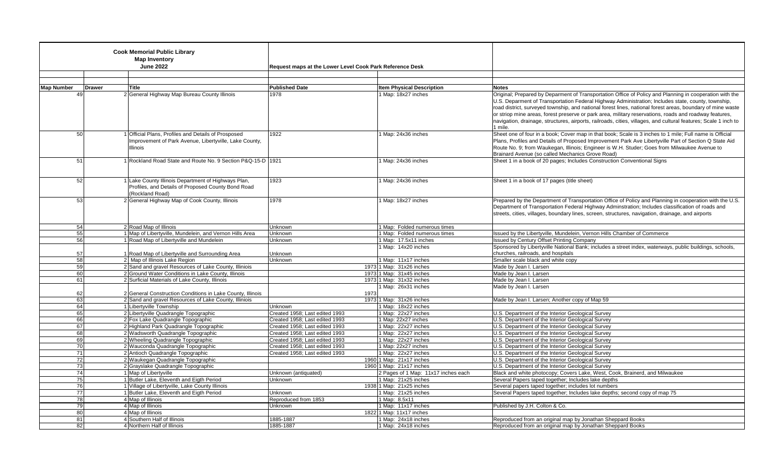| <b>Cook Memorial Public Library</b> |               |                                                                                                      |                                                          |                                                            |                                                                                                                                    |
|-------------------------------------|---------------|------------------------------------------------------------------------------------------------------|----------------------------------------------------------|------------------------------------------------------------|------------------------------------------------------------------------------------------------------------------------------------|
| <b>Map Inventory</b>                |               |                                                                                                      |                                                          |                                                            |                                                                                                                                    |
| <b>June 2022</b>                    |               |                                                                                                      |                                                          |                                                            |                                                                                                                                    |
|                                     |               |                                                                                                      | Request maps at the Lower Level Cook Park Reference Desk |                                                            |                                                                                                                                    |
|                                     |               |                                                                                                      |                                                          |                                                            |                                                                                                                                    |
| <b>Map Number</b>                   | <b>Drawer</b> | Title                                                                                                | <b>Published Date</b>                                    | <b>Item Physical Description</b>                           | <b>Notes</b>                                                                                                                       |
|                                     | 49            | 2 General Highway Map Bureau County Illinois                                                         | 1978                                                     | 1 Map: 18x27 inches                                        | Original; Prepared by Deparment of Transportation Office of Policy and Planning in cooperation with the                            |
|                                     |               |                                                                                                      |                                                          |                                                            | U.S. Deparment of Transportation Federal Highway Administration; Includes state, county, township,                                 |
|                                     |               |                                                                                                      |                                                          |                                                            | road district, surveyed township, and national forest lines, national forest areas, boundary of mine waste                         |
|                                     |               |                                                                                                      |                                                          |                                                            | or striop mine areas, forest preserve or park area, military reservations, roads and roadway features,                             |
|                                     |               |                                                                                                      |                                                          |                                                            | navigation, drainage, structures, airports, railroads, cities, villages, and cultural features; Scale 1 inch to                    |
|                                     |               |                                                                                                      |                                                          |                                                            | 1 mile.                                                                                                                            |
|                                     | 50            | 1 Official Plans, Profiles and Details of Prosposed                                                  | 1922                                                     | 1 Map: 24x36 inches                                        | Sheet one of four in a book; Cover map in that book; Scale is 3 inches to 1 mile; Full name is Official                            |
|                                     |               | Improvement of Park Avenue, Libertyville, Lake County,                                               |                                                          |                                                            | Plans, Profiles and Details of Proposed Improvement Park Ave Libertyville Part of Section Q State Aid                              |
|                                     |               | Illinois                                                                                             |                                                          |                                                            | Route No. 9; from Waukegan, Illinois; Engineer is W.H. Studer; Goes from Milwaukee Avenue to                                       |
|                                     |               |                                                                                                      |                                                          |                                                            | Brainard Avenue (so called Mechanics Grove Road)                                                                                   |
|                                     | 51            | 1 Rockland Road State and Route No. 9 Section P&Q-15-D   1921                                        |                                                          | 1 Map: 24x36 inches                                        | Sheet 1 in a book of 20 pages; Includes Construction Conventional Signs                                                            |
|                                     |               |                                                                                                      |                                                          |                                                            |                                                                                                                                    |
|                                     |               |                                                                                                      |                                                          |                                                            |                                                                                                                                    |
|                                     | 52            | 1 Lake County Illinois Department of Highways Plan,                                                  | 1923                                                     | 1 Map: 24x36 inches                                        | Sheet 1 in a book of 17 pages (title sheet)                                                                                        |
|                                     |               | Profiles, and Details of Proposed County Bond Road<br>(Rockland Road)                                |                                                          |                                                            |                                                                                                                                    |
|                                     | 53            | 2 General Highway Map of Cook County, Illinois                                                       | 1978                                                     | 1 Map: 18x27 inches                                        | Prepared by the Department of Transportation Office of Policy and Planning in cooperation with the U.S.                            |
|                                     |               |                                                                                                      |                                                          |                                                            | Department of Transportation Federal Highway Adminstration; Includes classification of roads and                                   |
|                                     |               |                                                                                                      |                                                          |                                                            | streets, cities, villages, boundary lines, screen, structures, navigation, drainage, and airports                                  |
|                                     |               |                                                                                                      |                                                          |                                                            |                                                                                                                                    |
|                                     | 54            | 2 Road Map of Illinois                                                                               | Unknown                                                  | 1 Map: Folded numerous times                               |                                                                                                                                    |
|                                     | 55            | 1 Map of Libertyville, Mundelein, and Vernon Hills Area                                              | Unknown                                                  | 1 Map: Folded numerous times                               | Issued by the Libertyville, Mundelein, Vernon Hills Chamber of Commerce                                                            |
|                                     | 56            | 1 Road Map of Libertyville and Mundelein                                                             | Unknown                                                  | 1 Map: 17.5x11 inches                                      | <b>Issued by Century Offset Printing Company</b>                                                                                   |
|                                     |               |                                                                                                      |                                                          | 1 Map: 14x20 inches                                        | Sponsored by Libertyville National Bank; includes a street index, waterways, public buildings, schools,                            |
|                                     | 57            | 1 Road Map of Libertyville and Surrounding Area                                                      | Unknown                                                  |                                                            | churches, railroads, and hospitals                                                                                                 |
|                                     | 58            | 2 Map of Illinois Lake Region                                                                        | Unknown                                                  | 1 Map: 11x17 inches                                        | Smaller scale black and white copy                                                                                                 |
|                                     | 59            | 2 Sand and gravel Resources of Lake County, Illiniois                                                |                                                          | 1973 1 Map: 31x26 inches                                   | Made by Jean I. Larsen                                                                                                             |
|                                     | 60<br>61      | 2 Ground Water Conditions in Lake County, Illinois<br>2 Surficial Materials of Lake County, Illinois |                                                          | 1973 1 Map: 31x45 inches<br>1973 1 Map: 31x32 inches       | Made by Jean I. Larsen<br>Made by Jean I. Larsen                                                                                   |
|                                     |               |                                                                                                      |                                                          | 1 Map: 26x31 inches                                        | Made by Jean I. Larsen                                                                                                             |
|                                     | 62            | 2 General Construction Conditions in Lake County, Illinois                                           | 1973                                                     |                                                            |                                                                                                                                    |
|                                     | 63            | 2 Sand and gravel Resources of Lake County, Illiniois                                                |                                                          | 1973 1 Map: 31x26 inches                                   | Made by Jean I. Larsen; Another copy of Map 59                                                                                     |
|                                     | 64            | 1 Libertyville Township                                                                              | Unknown                                                  | 1 Map: 18x22 inches                                        |                                                                                                                                    |
|                                     | 65            | 2 Libertyville Quadrangle Topographic                                                                | Created 1958; Last edited 1993                           | 1 Map: 22x27 inches                                        | U.S. Department of the Interior Geological Survey                                                                                  |
|                                     | 66            | 2 Fox Lake Quadrangle Topographic                                                                    | Created 1958: Last edited 1993                           | 1 Map: 22x27 inches                                        | U.S. Department of the Interior Geological Survey                                                                                  |
|                                     | 67            | 2 Highland Park Quadrangle Topographic                                                               | Created 1958: Last edited 1993                           | $\overline{1 \text{ Mao}}$ : 22x27 inches                  | U.S. Department of the Interior Geological Survey                                                                                  |
|                                     | 68            | 2 Wadsworth Quadrangle Topographic                                                                   | Created 1958: Last edited 1993                           | 1 Map: 22x27 inches                                        | U.S. Department of the Interior Geological Survey                                                                                  |
|                                     | 69            | 2 Wheeling Quadrangle Topographic                                                                    | Created 1958: Last edited 1993                           | 1 Map: 22x27 inches                                        | U.S. Department of the Interior Geological Survey                                                                                  |
|                                     | 70            | 2 Wauconda Quadrangle Topographic                                                                    | Created 1958; Last edited 1993                           | 1 Map: 22x27 inches                                        | U.S. Department of the Interior Geological Survey                                                                                  |
|                                     | 71            | 2 Antioch Quadrangle Topographic                                                                     | Created 1958; Last edited 1993                           | 1 Map: 22x27 inches                                        | U.S. Department of the Interior Geological Survey                                                                                  |
|                                     | 72            | 2 Waukegan Quadrangle Topographic                                                                    |                                                          | 1960 1 Map: 21x17 inches                                   | U.S. Department of the Interior Geological Survey                                                                                  |
|                                     | 73            | 2 Grayslake Quadrangle Topographic                                                                   |                                                          | 1960 1 Map: 21x17 inches                                   | U.S. Department of the Interior Geological Survey                                                                                  |
|                                     | 74<br>75      | 1 Map of Libertyville<br>1 Butler Lake, Eleventh and Eigth Period                                    | Unknown (antiquated)<br>Unknown                          | 2 Pages of 1 Map: 11x17 inches each<br>1 Map: 21x25 inches | Black and white photocopy; Covers Lake, West, Cook, Brainerd, and Milwaukee<br>Several Papers taped together; Includes lake depths |
|                                     | 76            | 1 Village of Libertyville, Lake County Illinois                                                      |                                                          | 1938 1 Map: 21x25 inches                                   | Several papers taped together; includes lot numbers                                                                                |
|                                     | 77            | 1 Butler Lake, Eleventh and Eigth Period                                                             | Unknown                                                  | 1 Map: 21x25 inches                                        | Several Papers taped together; Includes lake depths; second copy of map 75                                                         |
|                                     | 78            | 4 Map of Illinois                                                                                    | Reproduced from 1853                                     | 1 Map: 8.5x11                                              |                                                                                                                                    |
|                                     | 79            | 4 Map of Illinois                                                                                    | Unknown                                                  | 1 Map: 11x17 inches                                        | Published by J.H. Colton & Co.                                                                                                     |
|                                     | 80            | 4 Map of Illinois                                                                                    |                                                          | 1822 1 Map: 11x17 inches                                   |                                                                                                                                    |
|                                     | 81            | 4 Southern Half of Illinois                                                                          | 1885-1887                                                | 1 Map: 24x18 inches                                        | Reproduced from an original map by Jonathan Sheppard Books                                                                         |
|                                     | 82            | 4 Northern Half of Illinois                                                                          | 1885-1887                                                | 1 Map: 24x18 inches                                        | Reproduced from an original map by Jonathan Sheppard Books                                                                         |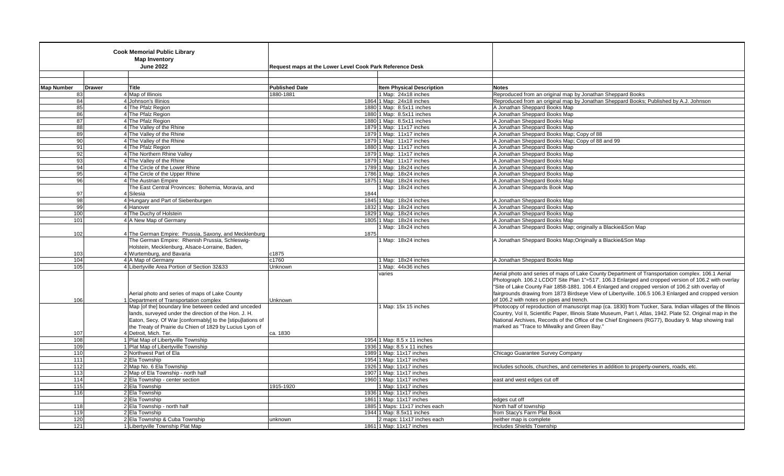|                   |               | <b>Cook Memorial Public Library</b><br><b>Map Inventory</b><br><b>June 2022</b>                                                                                                                                                         | Request maps at the Lower Level Cook Park Reference Desk |                                  |                                                                                                                                                                                                                                                                                                                                                                                   |
|-------------------|---------------|-----------------------------------------------------------------------------------------------------------------------------------------------------------------------------------------------------------------------------------------|----------------------------------------------------------|----------------------------------|-----------------------------------------------------------------------------------------------------------------------------------------------------------------------------------------------------------------------------------------------------------------------------------------------------------------------------------------------------------------------------------|
|                   |               |                                                                                                                                                                                                                                         |                                                          |                                  |                                                                                                                                                                                                                                                                                                                                                                                   |
|                   |               |                                                                                                                                                                                                                                         |                                                          |                                  |                                                                                                                                                                                                                                                                                                                                                                                   |
| <b>Map Number</b> | <b>Drawer</b> | <b>Title</b>                                                                                                                                                                                                                            | <b>Published Date</b>                                    | <b>Item Physical Description</b> | <b>Notes</b>                                                                                                                                                                                                                                                                                                                                                                      |
|                   | 83            | 4 Map of Illinois                                                                                                                                                                                                                       | 1880-1881                                                | 1 Map: 24x18 inches              | Reproduced from an original map by Jonathan Sheppard Books                                                                                                                                                                                                                                                                                                                        |
|                   | 84            | 4 Johnson's Illinios                                                                                                                                                                                                                    |                                                          | 1864 1 Map: 24x18 inches         | Reproduced from an original map by Jonathan Sheppard Books; Published by A.J. Johnson                                                                                                                                                                                                                                                                                             |
|                   | 85            | 4 The Pfalz Region                                                                                                                                                                                                                      |                                                          | 1880 1 Map: 8.5x11 inches        | A Jonathan Sheppard Books Map                                                                                                                                                                                                                                                                                                                                                     |
|                   | 86            | 4 The Pfalz Region                                                                                                                                                                                                                      |                                                          | 1880 1 Map: 8.5x11 inches        | A Jonathan Sheppard Books Map                                                                                                                                                                                                                                                                                                                                                     |
|                   | 87            | 4 The Pfalz Region                                                                                                                                                                                                                      |                                                          | 1880 1 Map: 8.5x11 inches        | A Jonathan Sheppard Books Map                                                                                                                                                                                                                                                                                                                                                     |
|                   | 88            | 4 The Valley of the Rhine                                                                                                                                                                                                               |                                                          | 1879 1 Map: 11x17 inches         | A Jonathan Sheppard Books Map                                                                                                                                                                                                                                                                                                                                                     |
|                   | 89            | 4 The Valley of the Rhine                                                                                                                                                                                                               |                                                          | 1879 1 Map: 11x17 inches         | A Jonathan Sheppard Books Map; Copy of 88                                                                                                                                                                                                                                                                                                                                         |
|                   | 90            | 4 The Valley of the Rhine                                                                                                                                                                                                               |                                                          | 1879 1 Map: 11x17 inches         | A Jonathan Sheppard Books Map; Copy of 88 and 99                                                                                                                                                                                                                                                                                                                                  |
|                   | 91            | 4 The Pfalz Region                                                                                                                                                                                                                      |                                                          | 1880 1 Map: 11x17 inches         | A Jonathan Sheppard Books Map                                                                                                                                                                                                                                                                                                                                                     |
|                   | 92            | 4 The Northern Rhine Valley                                                                                                                                                                                                             |                                                          | 1879 1 Map: 11x17 inches         | A Jonathan Sheppard Books Map                                                                                                                                                                                                                                                                                                                                                     |
|                   | 93            | 4 The Valley of the Rhine                                                                                                                                                                                                               |                                                          | 1879 1 Map: 11x17 inches         | A Jonathan Sheppard Books Map                                                                                                                                                                                                                                                                                                                                                     |
|                   | 94            | 4 The Circle of the Lower Rhine                                                                                                                                                                                                         |                                                          | 1789 1 Map: 18x24 inches         | A Jonathan Sheppard Books Map                                                                                                                                                                                                                                                                                                                                                     |
|                   | 95            | 4 The Circle of the Upper Rhine                                                                                                                                                                                                         |                                                          | 1786 1 Map: 18x24 inches         | A Jonathan Sheppard Books Map                                                                                                                                                                                                                                                                                                                                                     |
|                   | 96            | 4 The Austrian Empire                                                                                                                                                                                                                   |                                                          | 1875 1 Map: 18x24 inches         | A Jonathan Sheppard Books Map                                                                                                                                                                                                                                                                                                                                                     |
|                   |               | The East Central Provinces: Bohemia, Moravia, and                                                                                                                                                                                       |                                                          | 1 Map: 18x24 inches              | A Jonathan Sheppards Book Map                                                                                                                                                                                                                                                                                                                                                     |
|                   | 97            | 4 Silesia                                                                                                                                                                                                                               | 1844                                                     |                                  |                                                                                                                                                                                                                                                                                                                                                                                   |
|                   | 98            | 4 Hungary and Part of Siebenburgen                                                                                                                                                                                                      |                                                          | 1845 1 Map: 18x24 inches         | A Jonathan Sheppard Books Map                                                                                                                                                                                                                                                                                                                                                     |
|                   | 99            | 4 Hanover                                                                                                                                                                                                                               |                                                          | 1832 1 Map: 18x24 inches         | A Jonathan Sheppard Books Map                                                                                                                                                                                                                                                                                                                                                     |
| 100               |               | 4 The Duchy of Holstein                                                                                                                                                                                                                 |                                                          | 1829 1 Map: 18x24 inches         | A Jonathan Sheppard Books Map                                                                                                                                                                                                                                                                                                                                                     |
| 101               |               | 4 A New Map of Germany                                                                                                                                                                                                                  |                                                          | 1805 1 Map: 18x24 inches         | A Jonathan Sheppard Books Map                                                                                                                                                                                                                                                                                                                                                     |
|                   |               |                                                                                                                                                                                                                                         |                                                          | 1 Map: 18x24 inches              | A Jonathan Sheppard Books Map; originally a Blackie&Son Map                                                                                                                                                                                                                                                                                                                       |
| 102               |               | 4 The German Empire: Prussia, Saxony, and Mecklenburg                                                                                                                                                                                   | 1875                                                     |                                  |                                                                                                                                                                                                                                                                                                                                                                                   |
|                   |               | The German Empire: Rhenish Prussia, Schleswig-                                                                                                                                                                                          |                                                          | 1 Map: 18x24 inches              | A Jonathan Sheppard Books Map; Originally a Blackie & Son Map                                                                                                                                                                                                                                                                                                                     |
|                   |               | Holstein, Mecklenburg, Alsace-Lorraine, Baden,                                                                                                                                                                                          |                                                          |                                  |                                                                                                                                                                                                                                                                                                                                                                                   |
| 103               |               | 4 Wurtemburg, and Bavaria                                                                                                                                                                                                               | c1875                                                    |                                  |                                                                                                                                                                                                                                                                                                                                                                                   |
| 104               |               | 4 A Map of Germany                                                                                                                                                                                                                      | c1760                                                    | 1 Map: 18x24 inches              | A Jonathan Sheppard Books Map                                                                                                                                                                                                                                                                                                                                                     |
| 105               |               | 4 Libertyville Area Portion of Section 32&33                                                                                                                                                                                            | Unknown                                                  | 1 Map: 44x36 inches              |                                                                                                                                                                                                                                                                                                                                                                                   |
|                   |               |                                                                                                                                                                                                                                         |                                                          | varies                           | Aerial photo and series of maps of Lake County Department of Transportation complex. 106.1 Aerial                                                                                                                                                                                                                                                                                 |
| 106               |               | Aerial photo and series of maps of Lake County<br>1 Department of Transportation complex                                                                                                                                                | Unknown                                                  |                                  | Photograph. 106.2 LCDOT Site Plan 1"=517'. 106.3 Enlarged and cropped version of 106.2 with overlay<br>"Site of Lake County Fair 1858-1881. 106.4 Enlarged and cropped version of 106.2 sith overlay of<br>fairgrounds drawing from 1873 Birdseye View of Libertyville. 106.5 106.3 Enlarged and cropped version<br>of 106.2 with notes on pipes and trench.                      |
|                   |               | Map [of the] boundary line between ceded and unceded<br>lands, surveyed under the direction of the Hon. J. H.<br>Eaton, Secy. Of War [conformably] to the [stipu]lations of<br>the Treaty of Prairie du Chien of 1829 by Lucius Lyon of |                                                          | 1 Map: 15x 15 inches             | Photocopy of reproduction of manuscript map (ca. 1830) from Tucker, Sara. Indian villages of the Illinois<br>Country, Vol II, Scientific Paper, Illinois State Museum, Part I, Atlas, 1942. Plate 52. Original map in the<br>National Archives, Records of the Office of the Chief Engineers (RG77), Boudary 9. Map showing trail<br>marked as "Trace to Milwalky and Green Bay." |
| 107               |               | 4 Detroit, Mich, Ter.                                                                                                                                                                                                                   | ca. 1830                                                 |                                  |                                                                                                                                                                                                                                                                                                                                                                                   |
| 108               |               | 1 Plat Map of Libertyville Township                                                                                                                                                                                                     |                                                          | 1954 1 Map: 8.5 x 11 inches      |                                                                                                                                                                                                                                                                                                                                                                                   |
| 109               |               | 1 Plat Map of Libertyville Township                                                                                                                                                                                                     |                                                          | 1936 1 Map: 8.5 x 11 inches      |                                                                                                                                                                                                                                                                                                                                                                                   |
| 110               |               | 2 Northwest Part of Ela                                                                                                                                                                                                                 |                                                          | 1989 1 Map: 11x17 inches         | Chicago Guarantee Survey Company                                                                                                                                                                                                                                                                                                                                                  |
| 111               |               | 2 Ela Township                                                                                                                                                                                                                          |                                                          | 1954 1 Map: 11x17 inches         |                                                                                                                                                                                                                                                                                                                                                                                   |
| 112               |               | 2 Map No. 6 Ela Township                                                                                                                                                                                                                |                                                          | 1926 1 Map: 11x17 inches         | Includes schools, churches, and cemeteries in addition to property-owners, roads, etc.                                                                                                                                                                                                                                                                                            |
| 113               |               | 2 Map of Ela Township - north half                                                                                                                                                                                                      |                                                          | 1907 1 Map: 11x17 inches         |                                                                                                                                                                                                                                                                                                                                                                                   |
| 114               |               | 2 Ela Township - center section                                                                                                                                                                                                         |                                                          | 1960 1 Map: 11x17 inches         | east and west edges cut off                                                                                                                                                                                                                                                                                                                                                       |
| 115               |               | 2 Ela Township                                                                                                                                                                                                                          | 1915-1920                                                | 1 Map: 11x17 inches              |                                                                                                                                                                                                                                                                                                                                                                                   |
| 116               |               | 2 Ela Township                                                                                                                                                                                                                          |                                                          | 1936 1 Map: 11x17 inches         |                                                                                                                                                                                                                                                                                                                                                                                   |
|                   |               | 2 Ela Township                                                                                                                                                                                                                          |                                                          | 1861 1 Map: 11x17 inches         | edges cut off                                                                                                                                                                                                                                                                                                                                                                     |
| 118               |               | 2 Ela Township - north half                                                                                                                                                                                                             |                                                          | 1885 1 Maps: 11x17 inches each   | North half of township                                                                                                                                                                                                                                                                                                                                                            |
| 119               |               | 2 Ela Township                                                                                                                                                                                                                          |                                                          | 1944 1 Map: 8.5x11 inches        | from Stacy's Farm Plat Book                                                                                                                                                                                                                                                                                                                                                       |
| 120               |               | 2 Ela Township & Cuba Township                                                                                                                                                                                                          | unknown                                                  | 2 maps: 11x17 inches each        | neither map is complete                                                                                                                                                                                                                                                                                                                                                           |
| 121               |               | 1 Libertyville Township Plat Map                                                                                                                                                                                                        |                                                          | 1861 1 Map: 11x17 inches         | Includes Shields Township                                                                                                                                                                                                                                                                                                                                                         |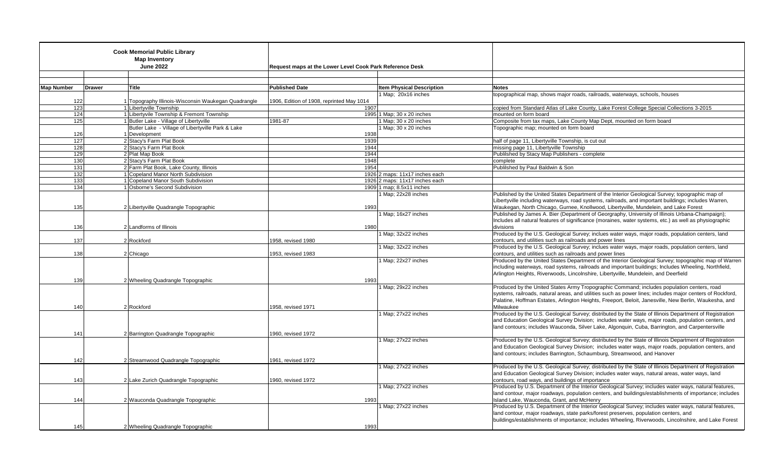| <b>Cook Memorial Public Library</b><br><b>Map Inventory</b><br><b>June 2022</b> |               |                                                     | Request maps at the Lower Level Cook Park Reference Desk |                                |                                                                                                                                                                                                                                                                                                                   |
|---------------------------------------------------------------------------------|---------------|-----------------------------------------------------|----------------------------------------------------------|--------------------------------|-------------------------------------------------------------------------------------------------------------------------------------------------------------------------------------------------------------------------------------------------------------------------------------------------------------------|
| <b>Map Number</b>                                                               | <b>Drawer</b> | <b>Title</b>                                        | <b>Published Date</b>                                    | Item Physical Description      | <b>Notes</b>                                                                                                                                                                                                                                                                                                      |
|                                                                                 |               |                                                     |                                                          | 1 Map; 20x16 inches            | topographical map, shows major roads, railroads, waterways, schools, houses                                                                                                                                                                                                                                       |
|                                                                                 | 122           | 1 Topography Illinois-Wisconsin Waukegan Quadrangle | 1906, Edition of 1908, reprinted May 1014                |                                |                                                                                                                                                                                                                                                                                                                   |
|                                                                                 | 123           | 1 Libertyville Township                             |                                                          | 1907                           | copied from Standard Atlas of Lake County, Lake Forest College Special Collections 3-2015                                                                                                                                                                                                                         |
|                                                                                 | 124           | 1 Libertyvile Township & Fremont Township           |                                                          | 1995 1 Map; 30 x 20 inches     | mounted on form board                                                                                                                                                                                                                                                                                             |
|                                                                                 | 125           | 1 Butler Lake - Village of Libertyville             | 1981-87                                                  | 1 Map; 30 x 20 inches          | Composite from tax maps, Lake County Map Dept, mounted on form board                                                                                                                                                                                                                                              |
|                                                                                 |               | Butler Lake - Village of Libertyville Park & Lake   |                                                          | 1 Map; 30 x 20 inches          | Topographic map; mounted on form board                                                                                                                                                                                                                                                                            |
|                                                                                 | 126           | 1 Development                                       |                                                          | 1938                           |                                                                                                                                                                                                                                                                                                                   |
|                                                                                 | 127           | 2 Stacy's Farm Plat Book                            |                                                          | 1939                           | half of page 11, Libertyville Township, is cut out                                                                                                                                                                                                                                                                |
|                                                                                 | 128           | 2 Stacy's Farm Plat Book                            |                                                          | 1944                           | missing page 11, Libertyville Township                                                                                                                                                                                                                                                                            |
|                                                                                 | 129           | 2 Plat Map Book                                     |                                                          | 1944                           | Publilshed by Stacy Map Publishers - complete                                                                                                                                                                                                                                                                     |
|                                                                                 | 130           | 2 Stacy's Farm Plat Book                            |                                                          | 1948                           | complete                                                                                                                                                                                                                                                                                                          |
| 131                                                                             |               | 2 Farm Plat Book, Lake County, Illinois             |                                                          | 1954                           | Publilshed by Paul Baldwin & Son                                                                                                                                                                                                                                                                                  |
|                                                                                 | 132           | 1 Copeland Manor North Subdivision                  |                                                          | 1926 2 maps: 11x17 inches each |                                                                                                                                                                                                                                                                                                                   |
|                                                                                 | 133           | 1 Copeland Manor South Subdivision                  |                                                          | 1926 2 maps: 11x17 inches each |                                                                                                                                                                                                                                                                                                                   |
|                                                                                 | 134           | 1 Osborne's Second Subdivision                      |                                                          | 1909 1 map; $8.5x11$ inches    |                                                                                                                                                                                                                                                                                                                   |
|                                                                                 |               |                                                     |                                                          | 1 Map; 22x28 inches            | Published by the United States Department of the Interior Geological Survey; topographic map of                                                                                                                                                                                                                   |
|                                                                                 | 135           |                                                     |                                                          | 1993                           | Libertyville including waterways, road systems, railroads, and important buildings; includes Warren,<br>Waukegan, North Chicago, Gurnee, Knollwood, Libertyville, Mundelein, and Lake Forest                                                                                                                      |
|                                                                                 |               | 2 Libertyville Quadrangle Topographic               |                                                          | Map; 16x27 inches              | Published by James A. Bier (Department of Georgraphy, University of Illinois Urbana-Champaign);                                                                                                                                                                                                                   |
|                                                                                 |               |                                                     |                                                          |                                | Includes all natural features of significance (moraines, water systems, etc.) as well as physiographic                                                                                                                                                                                                            |
| 136                                                                             |               | 2 Landforms of Illinois                             |                                                          | 1980                           | divisions                                                                                                                                                                                                                                                                                                         |
|                                                                                 |               |                                                     |                                                          | 1 Map; 32x22 inches            | Produced by the U.S. Geological Survey; inclues water ways, major roads, population centers, land                                                                                                                                                                                                                 |
| 137                                                                             |               | 2 Rockford                                          | 1958, revised 1980                                       |                                | contours, and utilities such as railroads and power lines                                                                                                                                                                                                                                                         |
|                                                                                 |               |                                                     |                                                          | 1 Map; 32x22 inches            | Produced by the U.S. Geological Survey; inclues water ways, major roads, population centers, land                                                                                                                                                                                                                 |
| 138                                                                             |               | 2 Chicago                                           | 1953, revised 1983                                       |                                | contours, and utilities such as railroads and power lines                                                                                                                                                                                                                                                         |
|                                                                                 | 139           | 2 Wheeling Quadrangle Topographic                   |                                                          | Map; 22x27 inches<br>1993      | Produced by the United States Department of the Interior Geological Survey; topographic map of Warren<br>including waterways, road systems, railroads and important buildings; Includes Wheeling, Northfield,<br>Arlington Heights, Riverwoods, Lincolnshire, Libertyville, Mundelein, and Deerfield              |
|                                                                                 |               |                                                     |                                                          | 1 Map; 29x22 inches            | Produced by the United States Army Tropographic Command; includes population centers, road                                                                                                                                                                                                                        |
|                                                                                 |               |                                                     |                                                          |                                | systems, railroads, natural areas, and utilities such as power lines; includes major centers of Rockford,                                                                                                                                                                                                         |
|                                                                                 |               |                                                     |                                                          |                                | Palatine, Hoffman Estates, Arlington Heights, Freeport, Beloit, Janesville, New Berlin, Waukesha, and                                                                                                                                                                                                             |
| 140                                                                             |               | 2 Rockford                                          | 1958. revised 1971                                       |                                | Milwaukee                                                                                                                                                                                                                                                                                                         |
| 141                                                                             |               | 2 Barrington Quadrangle Topographic                 | 1960, revised 1972                                       | 1 Map; 27x22 inches            | Produced by the U.S. Geological Survey; distributed by the State of Illinois Department of Registration<br>and Education Geological Survey Division; includes water ways, major roads, population centers, and<br>land contours; includes Wauconda, Silver Lake, Algonquin, Cuba, Barrington, and Carpentersville |
|                                                                                 |               |                                                     |                                                          | 1 Map; 27x22 inches            | Produced by the U.S. Geological Survey; distributed by the State of Illinois Department of Registration<br>and Education Geological Survey Division; includes water ways, major roads, population centers, and<br>land contours; includes Barrington, Schaumburg, Streamwood, and Hanover                         |
|                                                                                 | 142           | 2 Streamwood Quadrangle Topographic                 | 1961, revised 1972                                       |                                |                                                                                                                                                                                                                                                                                                                   |
|                                                                                 |               |                                                     |                                                          | 1 Map; 27x22 inches            | Produced by the U.S. Geological Survey; distributed by the State of Illinois Department of Registration                                                                                                                                                                                                           |
| 143                                                                             |               | 2 Lake Zurich Quadrangle Topographic                | 1960, revised 1972                                       |                                | and Education Geological Survey Division; includes water ways, natural areas, water ways, land<br>contours, road ways, and buildings of importance                                                                                                                                                                |
|                                                                                 |               |                                                     |                                                          | 1 Map; 27x22 inches            | Produced by U.S. Department of the Interior Geological Survey; includes water ways, natural features,                                                                                                                                                                                                             |
|                                                                                 |               |                                                     |                                                          |                                | land contour, major roadways, population centers, and buildings/establishments of importance; includes                                                                                                                                                                                                            |
| 144                                                                             |               | 2 Wauconda Quadrangle Topographic                   |                                                          | 1993                           | Island Lake, Wauconda, Grant, and McHenry                                                                                                                                                                                                                                                                         |
|                                                                                 |               |                                                     |                                                          | 1 Map; 27x22 inches            | Produced by U.S. Department of the Interior Geological Survey; includes water ways, natural features,                                                                                                                                                                                                             |
|                                                                                 |               |                                                     |                                                          |                                | land contour, major roadways, state parks/forest preserves, population centers, and                                                                                                                                                                                                                               |
|                                                                                 |               |                                                     |                                                          |                                | buildings/establishments of importance; includes Wheeling, Riverwoods, Lincolnshire, and Lake Forest                                                                                                                                                                                                              |
|                                                                                 | 145           | 2 Wheeling Quadrangle Topographic                   |                                                          | 1993                           |                                                                                                                                                                                                                                                                                                                   |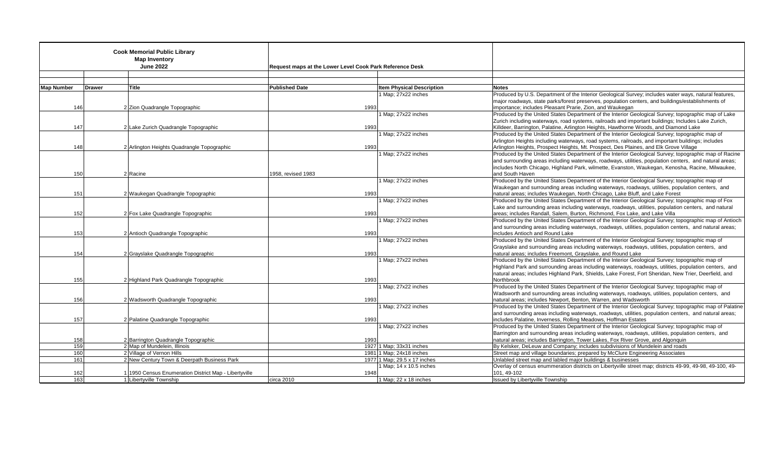| <b>Cook Memorial Public Library</b><br><b>Map Inventory</b><br><b>June 2022</b> |               |                                                       | Request maps at the Lower Level Cook Park Reference Desk |                                                         |                                                                                                                                                                                                                 |
|---------------------------------------------------------------------------------|---------------|-------------------------------------------------------|----------------------------------------------------------|---------------------------------------------------------|-----------------------------------------------------------------------------------------------------------------------------------------------------------------------------------------------------------------|
|                                                                                 |               |                                                       |                                                          |                                                         |                                                                                                                                                                                                                 |
| <b>Map Number</b>                                                               | <b>Drawer</b> | Title                                                 | <b>Published Date</b>                                    | <b>Item Physical Description</b>                        | <b>Notes</b>                                                                                                                                                                                                    |
|                                                                                 |               |                                                       |                                                          | 1 Map; 27x22 inches                                     | Produced by U.S. Department of the Interior Geological Survey; includes water ways, natural features,                                                                                                           |
|                                                                                 |               |                                                       |                                                          |                                                         | major roadways, state parks/forest preserves, population centers, and buildings/establishments of                                                                                                               |
| 146                                                                             |               | 2 Zion Quadrangle Topographic                         | 1993                                                     |                                                         | importance; includes Pleasant Prarie, Zion, and Waukegan                                                                                                                                                        |
|                                                                                 |               |                                                       |                                                          | 1 Map; 27x22 inches                                     | Produced by the United States Department of the Interior Geological Survey; topographic map of Lake                                                                                                             |
|                                                                                 |               |                                                       |                                                          |                                                         | Zurich including waterways, road systems, railroads and important buildings; Includes Lake Zurich,                                                                                                              |
| 147                                                                             |               | 2 Lake Zurich Quadrangle Topographic                  | 1993                                                     |                                                         | Killdeer, Barrington, Palatine, Arlington Heights, Hawthorne Woods, and Diamond Lake                                                                                                                            |
|                                                                                 |               |                                                       |                                                          | 1 Map; 27x22 inches                                     | Produced by the United States Department of the Interior Geological Survey; topographic map of                                                                                                                  |
|                                                                                 |               |                                                       |                                                          |                                                         | Arlington Heights including waterways, road systems, railroads, and important buildings; includes                                                                                                               |
| 148                                                                             |               | 2 Arlington Heights Quadrangle Topographic            | 1993                                                     | Map; 27x22 inches                                       | Arlington Heights, Prospect Heights, Mt. Prospect, Des Plaines, and Elk Grove Village                                                                                                                           |
|                                                                                 |               |                                                       |                                                          |                                                         | Produced by the United States Department of the Interior Geological Survey; topographic map of Racine<br>and surrounding areas including waterways, roadways, utilities, population centers, and natural areas; |
|                                                                                 |               |                                                       |                                                          |                                                         | includes North Chicago, Highland Park, wilmette, Evanston, Waukegan, Kenosha, Racine, Milwaukee,                                                                                                                |
| 150                                                                             |               | 2 Racine                                              | 1958. revised 1983                                       |                                                         | and South Haven                                                                                                                                                                                                 |
|                                                                                 |               |                                                       |                                                          | 1 Map; 27x22 inches                                     | Produced by the United States Department of the Interior Geological Survey; topographic map of                                                                                                                  |
|                                                                                 |               |                                                       |                                                          |                                                         | Waukegan and surrounding areas including waterways, roadways, utilities, population centers, and                                                                                                                |
| 151                                                                             |               | 2 Waukegan Quadrangle Topographic                     | 1993                                                     |                                                         | natural areas; includes Waukegan, North Chicago, Lake Bluff, and Lake Forest                                                                                                                                    |
|                                                                                 |               |                                                       |                                                          | 1 Map; 27x22 inches                                     | Produced by the United States Department of the Interior Geological Survey; topographic map of Fox                                                                                                              |
|                                                                                 |               |                                                       |                                                          |                                                         | Lake and surrounding areas including waterways, roadways, utilities, population centers, and natural                                                                                                            |
| 152                                                                             |               | 2 Fox Lake Quadrangle Topographic                     | 1993                                                     |                                                         | areas; includes Randall, Salem, Burton, Richmond, Fox Lake, and Lake Villa                                                                                                                                      |
|                                                                                 |               |                                                       |                                                          | 1 Map; 27x22 inches                                     | Produced by the United States Department of the Interior Geological Survey; topographic map of Antioch                                                                                                          |
|                                                                                 |               |                                                       |                                                          |                                                         | and surrounding areas including waterways, roadways, utilities, population centers, and natural areas;                                                                                                          |
| 153                                                                             |               | 2 Antioch Quadrangle Topographic                      | 1993                                                     |                                                         | includes Antioch and Round Lake                                                                                                                                                                                 |
|                                                                                 |               |                                                       |                                                          | Map; 27x22 inches                                       | Produced by the United States Department of the Interior Geological Survey; topographic map of                                                                                                                  |
|                                                                                 |               |                                                       |                                                          |                                                         | Grayslake and surrounding areas including waterways, roadways, utilities, population centers, and                                                                                                               |
| 154                                                                             |               | 2 Grayslake Quadrangle Topographic                    | 1993                                                     |                                                         | natural areas; includes Freemont, Grayslake, and Round Lake                                                                                                                                                     |
|                                                                                 |               |                                                       |                                                          | 1 Map; 27x22 inches                                     | Produced by the United States Department of the Interior Geological Survey; topographic map of<br>Highland Park and surrounding areas including waterways, roadways, utilities, population centers, and         |
|                                                                                 |               |                                                       |                                                          |                                                         | natural areas; includes Highland Park, Shields, Lake Forest, Fort Sheridan, New Trier, Deerfield, and                                                                                                           |
| 155                                                                             |               | 2 Highland Park Quadrangle Topographic                | 1993                                                     |                                                         | Northbrook                                                                                                                                                                                                      |
|                                                                                 |               |                                                       |                                                          | 1 Map; 27x22 inches                                     | Produced by the United States Department of the Interior Geological Survey; topographic map of                                                                                                                  |
|                                                                                 |               |                                                       |                                                          |                                                         | Wadsworth and surrounding areas including waterways, roadways, utilities, population centers, and                                                                                                               |
| 156                                                                             |               | 2 Wadsworth Quadrangle Topographic                    | 1993                                                     |                                                         | natural areas; includes Newport, Benton, Warren, and Wadsworth                                                                                                                                                  |
|                                                                                 |               |                                                       |                                                          | 1 Map; 27x22 inches                                     | Produced by the United States Department of the Interior Geological Survey; topographic map of Palatine                                                                                                         |
|                                                                                 |               |                                                       |                                                          |                                                         | and surrounding areas including waterways, roadways, utilities, population centers, and natural areas;                                                                                                          |
| 157                                                                             |               | 2 Palatine Quadrangle Topographic                     | 1993                                                     |                                                         | includes Palatine, Inverness, Rolling Meadows, Hoffman Estates                                                                                                                                                  |
|                                                                                 |               |                                                       |                                                          | Map; 27x22 inches                                       | Produced by the United States Department of the Interior Geological Survey; topographic map of                                                                                                                  |
|                                                                                 |               |                                                       |                                                          |                                                         | Barrington and surrounding areas including waterways, roadways, utilities, population centers, and                                                                                                              |
| 158                                                                             |               | 2 Barrington Quadrangle Topographic                   | 1993                                                     |                                                         | natural areas; includes Barrington, Tower Lakes, Fox River Grove, and Algonguin                                                                                                                                 |
| 159                                                                             |               | 2 Map of Mundelein, Illinois                          |                                                          | 1927 1 Map; 33x31 inches                                | By Kelsker, DeLeuw and Company; includes subdivisions of Mundelein and roads                                                                                                                                    |
| 160                                                                             |               | 2 Village of Vernon Hills                             |                                                          | 1981 1 Map; 24x18 inches                                | Street map and village boundaries; prepared by McClure Engineering Associates                                                                                                                                   |
| 161                                                                             |               | 2 New Century Town & Deerpath Business Park           |                                                          | 1977 1 Map; 29.5 x 17 inches<br>1 Map; 14 x 10.5 inches | Unlabled street map and labled major buildings & businesses                                                                                                                                                     |
| 162                                                                             |               | 1 1950 Census Enumeration District Map - Libertyville | 1948                                                     |                                                         | Overlay of census enummeration districts on Libertyville street map; districts 49-99, 49-98, 49-100, 49-<br>101.49-102                                                                                          |
| 163                                                                             |               | 1 Libertyville Township                               | circa 2010                                               | 1 Map; 22 x 18 inches                                   | Issued by Libertyville Township                                                                                                                                                                                 |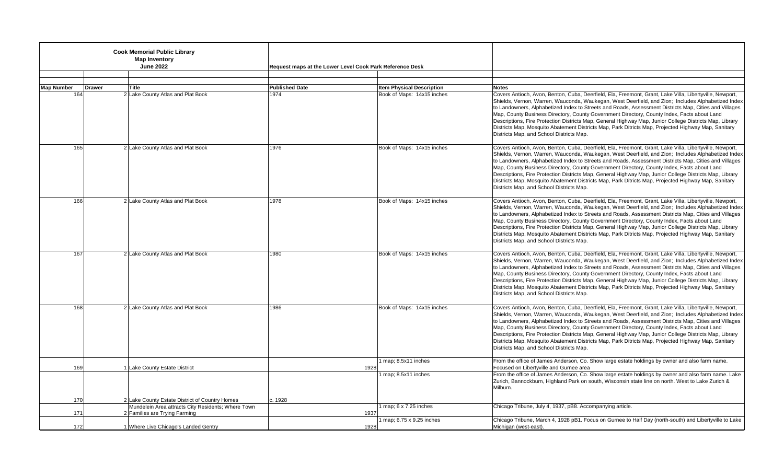|                   | <b>Cook Memorial Public Library</b><br><b>Map Inventory</b><br><b>June 2022</b>     | Request maps at the Lower Level Cook Park Reference Desk |                                  |                                                                                                                                                                                                                                                                                                                                                                                                                                                                                                                                                                                                                                                                                     |
|-------------------|-------------------------------------------------------------------------------------|----------------------------------------------------------|----------------------------------|-------------------------------------------------------------------------------------------------------------------------------------------------------------------------------------------------------------------------------------------------------------------------------------------------------------------------------------------------------------------------------------------------------------------------------------------------------------------------------------------------------------------------------------------------------------------------------------------------------------------------------------------------------------------------------------|
| <b>Map Number</b> | <b>Drawer</b><br><b>Title</b>                                                       | <b>Published Date</b>                                    | <b>Item Physical Description</b> | <b>Notes</b>                                                                                                                                                                                                                                                                                                                                                                                                                                                                                                                                                                                                                                                                        |
| 164               | 2 Lake County Atlas and Plat Book                                                   | 1974                                                     | Book of Maps: 14x15 inches       | Covers Antioch, Avon, Benton, Cuba, Deerfield, Ela, Freemont, Grant, Lake Villa, Libertyville, Newport,<br>Shields, Vernon, Warren, Wauconda, Waukegan, West Deerfield, and Zion; Includes Alphabetized Index<br>to Landowners, Alphabetized Index to Streets and Roads, Assessment Districts Map, Cities and Villages<br>Map, County Business Directory, County Government Directory, County Index, Facts about Land<br>Descriptions, Fire Protection Districts Map, General Highway Map, Junior College Districts Map, Library<br>Districts Map, Mosquito Abatement Districts Map, Park Ditricts Map, Projected Highway Map, Sanitary<br>Districts Map, and School Districts Map. |
| 165               | 2 Lake County Atlas and Plat Book                                                   | 1976                                                     | Book of Maps: 14x15 inches       | Covers Antioch, Avon, Benton, Cuba, Deerfield, Ela, Freemont, Grant, Lake Villa, Libertyville, Newport,<br>Shields, Vernon, Warren, Wauconda, Waukegan, West Deerfield, and Zion; Includes Alphabetized Index<br>to Landowners, Alphabetized Index to Streets and Roads, Assessment Districts Map, Cities and Villages<br>Map, County Business Directory, County Government Directory, County Index, Facts about Land<br>Descriptions, Fire Protection Districts Map, General Highway Map, Junior College Districts Map, Library<br>Districts Map, Mosquito Abatement Districts Map, Park Ditricts Map, Projected Highway Map, Sanitary<br>Districts Map, and School Districts Map. |
| 166               | 2 Lake County Atlas and Plat Book                                                   | 1978                                                     | Book of Maps: 14x15 inches       | Covers Antioch, Avon, Benton, Cuba, Deerfield, Ela, Freemont, Grant, Lake Villa, Libertyville, Newport,<br>Shields, Vernon, Warren, Wauconda, Waukegan, West Deerfield, and Zion; Includes Alphabetized Index<br>to Landowners, Alphabetized Index to Streets and Roads, Assessment Districts Map, Cities and Villages<br>Map, County Business Directory, County Government Directory, County Index, Facts about Land<br>Descriptions, Fire Protection Districts Map, General Highway Map, Junior College Districts Map, Library<br>Districts Map, Mosquito Abatement Districts Map, Park Ditricts Map, Projected Highway Map, Sanitary<br>Districts Map, and School Districts Map. |
| 167               | 2 Lake County Atlas and Plat Book                                                   | 1980                                                     | Book of Maps: 14x15 inches       | Covers Antioch, Avon, Benton, Cuba, Deerfield, Ela, Freemont, Grant, Lake Villa, Libertyville, Newport,<br>Shields, Vernon, Warren, Wauconda, Waukegan, West Deerfield, and Zion; Includes Alphabetized Index<br>to Landowners, Alphabetized Index to Streets and Roads, Assessment Districts Map, Cities and Villages<br>Map, County Business Directory, County Government Directory, County Index, Facts about Land<br>Descriptions, Fire Protection Districts Map, General Highway Map, Junior College Districts Map, Library<br>Districts Map, Mosquito Abatement Districts Map, Park Ditricts Map, Projected Highway Map, Sanitary<br>Districts Map, and School Districts Map. |
| 168               | 2 Lake County Atlas and Plat Book                                                   | 1986                                                     | Book of Maps: 14x15 inches       | Covers Antioch, Avon, Benton, Cuba, Deerfield, Ela, Freemont, Grant, Lake Villa, Libertyville, Newport,<br>Shields, Vernon, Warren, Wauconda, Waukegan, West Deerfield, and Zion; Includes Alphabetized Index<br>to Landowners, Alphabetized Index to Streets and Roads, Assessment Districts Map, Cities and Villages<br>Map, County Business Directory, County Government Directory, County Index, Facts about Land<br>Descriptions, Fire Protection Districts Map, General Highway Map, Junior College Districts Map, Library<br>Districts Map, Mosquito Abatement Districts Map, Park Ditricts Map, Projected Highway Map, Sanitary<br>Districts Map, and School Districts Map. |
| 169               | 1 Lake County Estate District                                                       | 1928                                                     | 1 map; 8.5x11 inches             | From the office of James Anderson, Co. Show large estate holdings by owner and also farm name.<br>Focused on Libertyville and Gurnee area                                                                                                                                                                                                                                                                                                                                                                                                                                                                                                                                           |
|                   |                                                                                     |                                                          | 1 map; 8.5x11 inches             | From the office of James Anderson, Co. Show large estate holdings by owner and also farm name. Lake<br>Zurich, Bannockburn, Highland Park on south, Wisconsin state line on north. West to Lake Zurich &<br>Milburn.                                                                                                                                                                                                                                                                                                                                                                                                                                                                |
| 170               | 2 Lake County Estate District of Country Homes                                      | c. 1928                                                  |                                  |                                                                                                                                                                                                                                                                                                                                                                                                                                                                                                                                                                                                                                                                                     |
| 171               | Mundelein Area attracts City Residents; Where Town<br>2 Families are Trying Farming | 1937                                                     | map; $6 \times 7.25$ inches      | Chicago Tribune, July 4, 1937, pB8. Accompanying article.                                                                                                                                                                                                                                                                                                                                                                                                                                                                                                                                                                                                                           |
| 172               | 1 Where Live Chicago's Landed Gentry                                                | 1928                                                     | map; 6.75 x 9.25 inches          | Chicago Tribune, March 4, 1928 pB1. Focus on Gurnee to Half Day (north-south) and Libertyville to Lake<br>Michigan (west-east).                                                                                                                                                                                                                                                                                                                                                                                                                                                                                                                                                     |